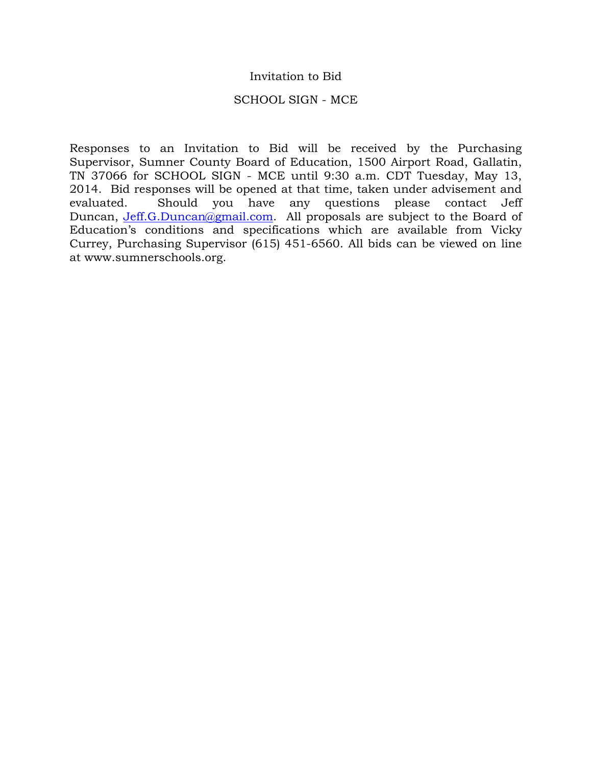## Invitation to Bid

### SCHOOL SIGN - MCE

Responses to an Invitation to Bid will be received by the Purchasing Supervisor, Sumner County Board of Education, 1500 Airport Road, Gallatin, TN 37066 for SCHOOL SIGN - MCE until 9:30 a.m. CDT Tuesday, May 13, 2014. Bid responses will be opened at that time, taken under advisement and evaluated. Should you have any questions please contact Jeff Duncan, Jeff.G.Duncan@gmail.com. All proposals are subject to the Board of Education's conditions and specifications which are available from Vicky Currey, Purchasing Supervisor (615) 451-6560. All bids can be viewed on line at www.sumnerschools.org.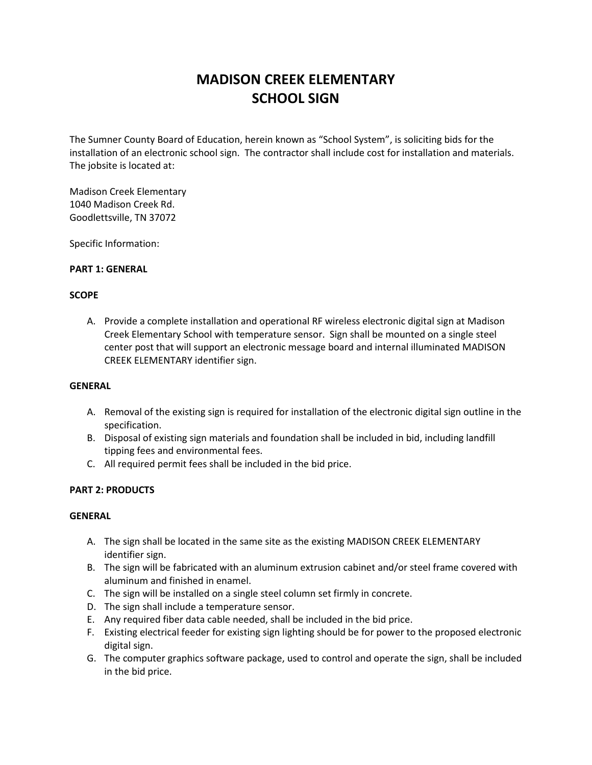# **MADISON CREEK ELEMENTARY SCHOOL SIGN**

The Sumner County Board of Education, herein known as "School System", is soliciting bids for the installation of an electronic school sign. The contractor shall include cost for installation and materials. The jobsite is located at:

Madison Creek Elementary 1040 Madison Creek Rd. Goodlettsville, TN 37072

Specific Information:

#### **PART 1: GENERAL**

#### **SCOPE**

A. Provide a complete installation and operational RF wireless electronic digital sign at Madison Creek Elementary School with temperature sensor. Sign shall be mounted on a single steel center post that will support an electronic message board and internal illuminated MADISON CREEK ELEMENTARY identifier sign.

#### **GENERAL**

- A. Removal of the existing sign is required for installation of the electronic digital sign outline in the specification.
- B. Disposal of existing sign materials and foundation shall be included in bid, including landfill tipping fees and environmental fees.
- C. All required permit fees shall be included in the bid price.

#### **PART 2: PRODUCTS**

#### **GENERAL**

- A. The sign shall be located in the same site as the existing MADISON CREEK ELEMENTARY identifier sign.
- B. The sign will be fabricated with an aluminum extrusion cabinet and/or steel frame covered with aluminum and finished in enamel.
- C. The sign will be installed on a single steel column set firmly in concrete.
- D. The sign shall include a temperature sensor.
- E. Any required fiber data cable needed, shall be included in the bid price.
- F. Existing electrical feeder for existing sign lighting should be for power to the proposed electronic digital sign.
- G. The computer graphics software package, used to control and operate the sign, shall be included in the bid price.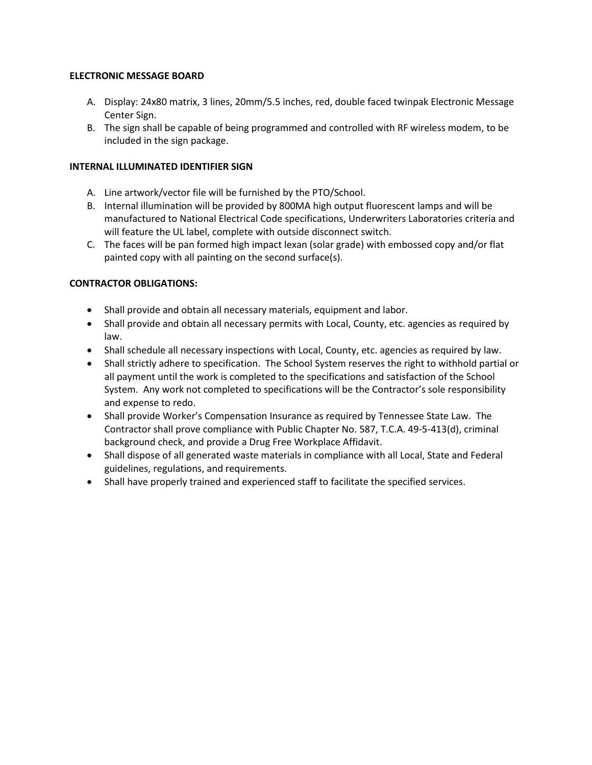#### **ELECTRONIC MESSAGE BOARD**

- A. Display: 24x80 matrix, 3 lines, 20mm/5.5 inches, red, double faced twinpak Electronic Message Center Sign.
- B. The sign shall be capable of being programmed and controlled with RF wireless modem, to be included in the sign package.

#### **INTERNAL ILLUMINATED IDENTIFIER SIGN**

- A. Line artwork/vector file will be furnished by the PTO/School.
- B. Internal illumination will be provided by 800MA high output fluorescent lamps and will be manufactured to National Electrical Code specifications, Underwriters Laboratories criteria and will feature the UL label, complete with outside disconnect switch.
- C. The faces will be pan formed high impact lexan (solar grade) with embossed copy and/or flat painted copy with all painting on the second surface(s).

## **CONTRACTOR OBLIGATIONS:**

- Shall provide and obtain all necessary materials, equipment and labor.
- Shall provide and obtain all necessary permits with Local, County, etc. agencies as required by law.
- Shall schedule all necessary inspections with Local, County, etc. agencies as required by law.
- Shall strictly adhere to specification. The School System reserves the right to withhold partial or all payment until the work is completed to the specifications and satisfaction of the School System. Any work not completed to specifications will be the Contractor's sole responsibility and expense to redo.
- Shall provide Worker's Compensation Insurance as required by Tennessee State Law. The Contractor shall prove compliance with Public Chapter No. 587, T.C.A. 49-5-413(d), criminal background check, and provide a Drug Free Workplace Affidavit.
- Shall dispose of all generated waste materials in compliance with all Local, State and Federal guidelines, regulations, and requirements.
- Shall have properly trained and experienced staff to facilitate the specified services.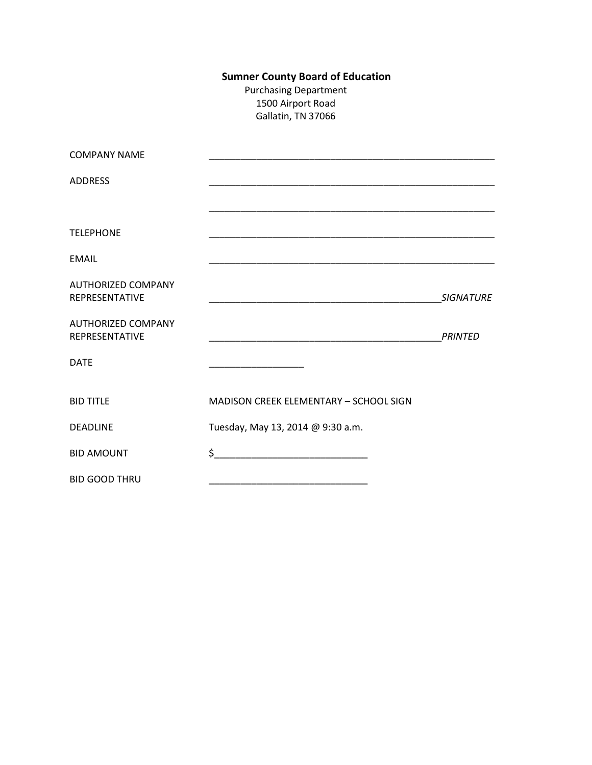## **Sumner County Board of Education**

Purchasing Department 1500 Airport Road Gallatin, TN 37066

| <b>COMPANY NAME</b>                                |                                                             |                  |
|----------------------------------------------------|-------------------------------------------------------------|------------------|
| <b>ADDRESS</b>                                     |                                                             |                  |
|                                                    |                                                             |                  |
| <b>TELEPHONE</b>                                   | <u> 1989 - Johann Stoff, amerikansk politiker (d. 1989)</u> |                  |
| EMAIL                                              |                                                             |                  |
| <b>AUTHORIZED COMPANY</b><br>REPRESENTATIVE        |                                                             | <b>SIGNATURE</b> |
| <b>AUTHORIZED COMPANY</b><br><b>REPRESENTATIVE</b> | <u> 1990 - Johann John Stone, mars et al. (1990)</u>        | <b>PRINTED</b>   |
| <b>DATE</b>                                        |                                                             |                  |
| <b>BID TITLE</b>                                   | <b>MADISON CREEK ELEMENTARY - SCHOOL SIGN</b>               |                  |
| <b>DEADLINE</b>                                    | Tuesday, May 13, 2014 @ 9:30 a.m.                           |                  |
| <b>BID AMOUNT</b>                                  | $\frac{1}{2}$                                               |                  |
| <b>BID GOOD THRU</b>                               |                                                             |                  |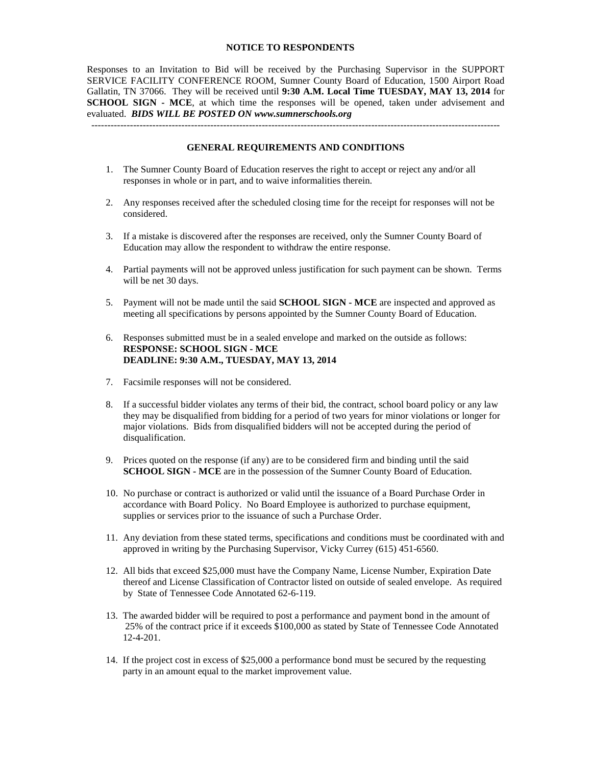#### **NOTICE TO RESPONDENTS**

Responses to an Invitation to Bid will be received by the Purchasing Supervisor in the SUPPORT SERVICE FACILITY CONFERENCE ROOM, Sumner County Board of Education, 1500 Airport Road Gallatin, TN 37066. They will be received until **9:30 A.M. Local Time TUESDAY, MAY 13, 2014** for **SCHOOL SIGN - MCE**, at which time the responses will be opened, taken under advisement and evaluated. *BIDS WILL BE POSTED ON www.sumnerschools.org*

#### **GENERAL REQUIREMENTS AND CONDITIONS**

-------------------------------------------------------------------------------------------------------------------------------

- 1. The Sumner County Board of Education reserves the right to accept or reject any and/or all responses in whole or in part, and to waive informalities therein.
- 2. Any responses received after the scheduled closing time for the receipt for responses will not be considered.
- 3. If a mistake is discovered after the responses are received, only the Sumner County Board of Education may allow the respondent to withdraw the entire response.
- 4. Partial payments will not be approved unless justification for such payment can be shown. Terms will be net 30 days.
- 5. Payment will not be made until the said **SCHOOL SIGN - MCE** are inspected and approved as meeting all specifications by persons appointed by the Sumner County Board of Education.
- 6. Responses submitted must be in a sealed envelope and marked on the outside as follows: **RESPONSE: SCHOOL SIGN - MCE DEADLINE: 9:30 A.M., TUESDAY, MAY 13, 2014**
- 7. Facsimile responses will not be considered.
- 8. If a successful bidder violates any terms of their bid, the contract, school board policy or any law they may be disqualified from bidding for a period of two years for minor violations or longer for major violations. Bids from disqualified bidders will not be accepted during the period of disqualification.
- 9. Prices quoted on the response (if any) are to be considered firm and binding until the said **SCHOOL SIGN - MCE** are in the possession of the Sumner County Board of Education.
- 10. No purchase or contract is authorized or valid until the issuance of a Board Purchase Order in accordance with Board Policy. No Board Employee is authorized to purchase equipment, supplies or services prior to the issuance of such a Purchase Order.
- 11. Any deviation from these stated terms, specifications and conditions must be coordinated with and approved in writing by the Purchasing Supervisor, Vicky Currey (615) 451-6560.
- 12. All bids that exceed \$25,000 must have the Company Name, License Number, Expiration Date thereof and License Classification of Contractor listed on outside of sealed envelope. As required by State of Tennessee Code Annotated 62-6-119.
- 13. The awarded bidder will be required to post a performance and payment bond in the amount of 25% of the contract price if it exceeds \$100,000 as stated by State of Tennessee Code Annotated 12-4-201.
- 14. If the project cost in excess of \$25,000 a performance bond must be secured by the requesting party in an amount equal to the market improvement value.